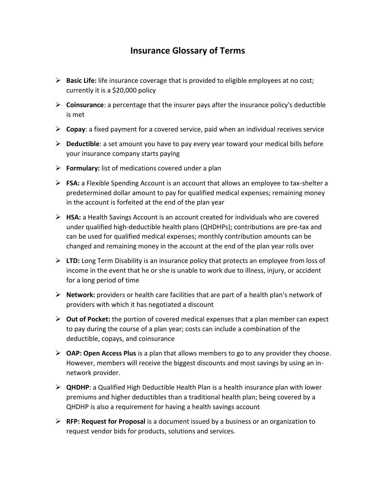## **Insurance Glossary of Terms**

- **Basic Life:** life insurance coverage that is provided to eligible employees at no cost; currently it is a \$20,000 policy
- **Coinsurance**: a percentage that the insurer pays after the insurance policy's deductible is met
- **Copay**: a fixed payment for a covered service, paid when an individual receives service
- **Deductible**: a set amount you have to pay every year toward your medical bills before your insurance company starts paying
- **Formulary:** list of medications covered under a plan
- **FSA:** a Flexible Spending Account is an account that allows an employee to tax-shelter a predetermined dollar amount to pay for qualified medical expenses; remaining money in the account is forfeited at the end of the plan year
- **HSA:** a Health Savings Account is an account created for individuals who are covered under qualified high-deductible health plans (QHDHPs); contributions are pre-tax and can be used for qualified medical expenses; monthly contribution amounts can be changed and remaining money in the account at the end of the plan year rolls over
- **LTD:** Long Term Disability is an insurance policy that protects an employee from loss of income in the event that he or she is unable to work due to illness, injury, or accident for a long period of time
- **Network:** providers or health care facilities that are part of a health plan's network of providers with which it has negotiated a discount
- **Out of Pocket:** the portion of covered medical expenses that a plan member can expect to pay during the course of a plan year; costs can include a combination of the deductible, copays, and coinsurance
- **OAP: Open Access Plus** is a plan that allows members to go to any provider they choose. However, members will receive the biggest discounts and most savings by using an innetwork provider.
- **QHDHP**: a Qualified High Deductible Health Plan is a health insurance plan with lower premiums and higher deductibles than a traditional health plan; being covered by a QHDHP is also a requirement for having a health savings account
- **RFP: Request for Proposal** is a document issued by a business or an organization to request vendor bids for products, solutions and services.